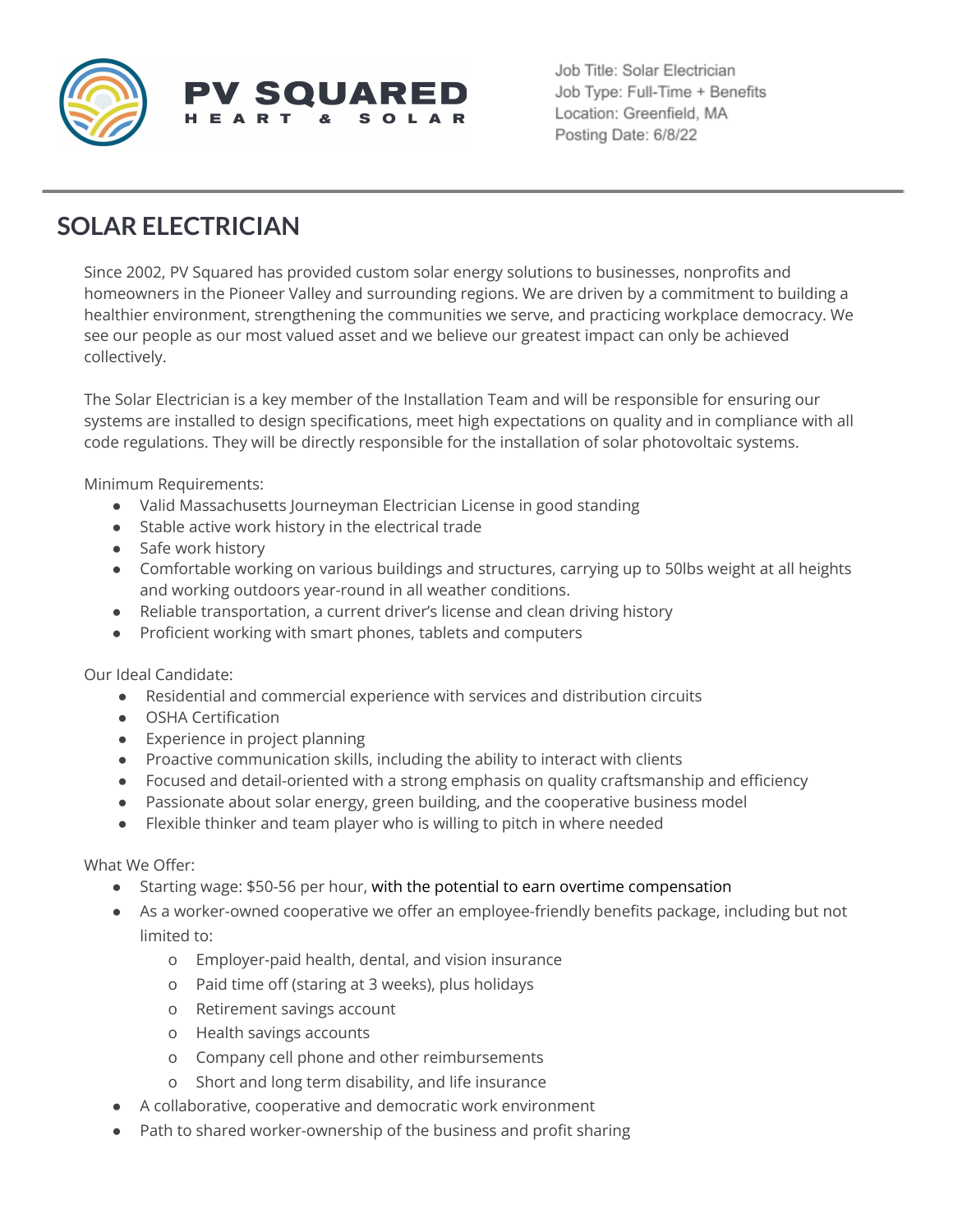

Job Title: Solar Electrician Job Type: Full-Time + Benefits Location: Greenfield, MA Posting Date: 6/8/22

## **SOLAR ELECTRICIAN**

Since 2002, PV Squared has provided custom solar energy solutions to businesses, nonprofits and homeowners in the Pioneer Valley and surrounding regions. We are driven by a commitment to building a healthier environment, strengthening the communities we serve, and practicing workplace democracy. We see our people as our most valued asset and we believe our greatest impact can only be achieved collectively.

The Solar Electrician is a key member of the Installation Team and will be responsible for ensuring our systems are installed to design specifications, meet high expectations on quality and in compliance with all code regulations. They will be directly responsible for the installation of solar photovoltaic systems.

Minimum Requirements:

- Valid Massachusetts Journeyman Electrician License in good standing
- Stable active work history in the electrical trade
- Safe work history
- Comfortable working on various buildings and structures, carrying up to 50lbs weight at all heights and working outdoors year-round in all weather conditions.
- Reliable transportation, a current driver's license and clean driving history
- Proficient working with smart phones, tablets and computers

Our Ideal Candidate:

- Residential and commercial experience with services and distribution circuits
- OSHA Certification
- Experience in project planning
- Proactive communication skills, including the ability to interact with clients
- Focused and detail-oriented with a strong emphasis on quality craftsmanship and efficiency
- Passionate about solar energy, green building, and the cooperative business model
- Flexible thinker and team player who is willing to pitch in where needed

What We Offer:

- Starting wage: \$50-56 per hour, with the potential to earn overtime compensation
- As a worker-owned cooperative we offer an employee-friendly benefits package, including but not limited to:
	- o Employer-paid health, dental, and vision insurance
	- o Paid time off (staring at 3 weeks), plus holidays
	- o Retirement savings account
	- o Health savings accounts
	- o Company cell phone and other reimbursements
	- o Short and long term disability, and life insurance
- A collaborative, cooperative and democratic work environment
- Path to shared worker-ownership of the business and profit sharing